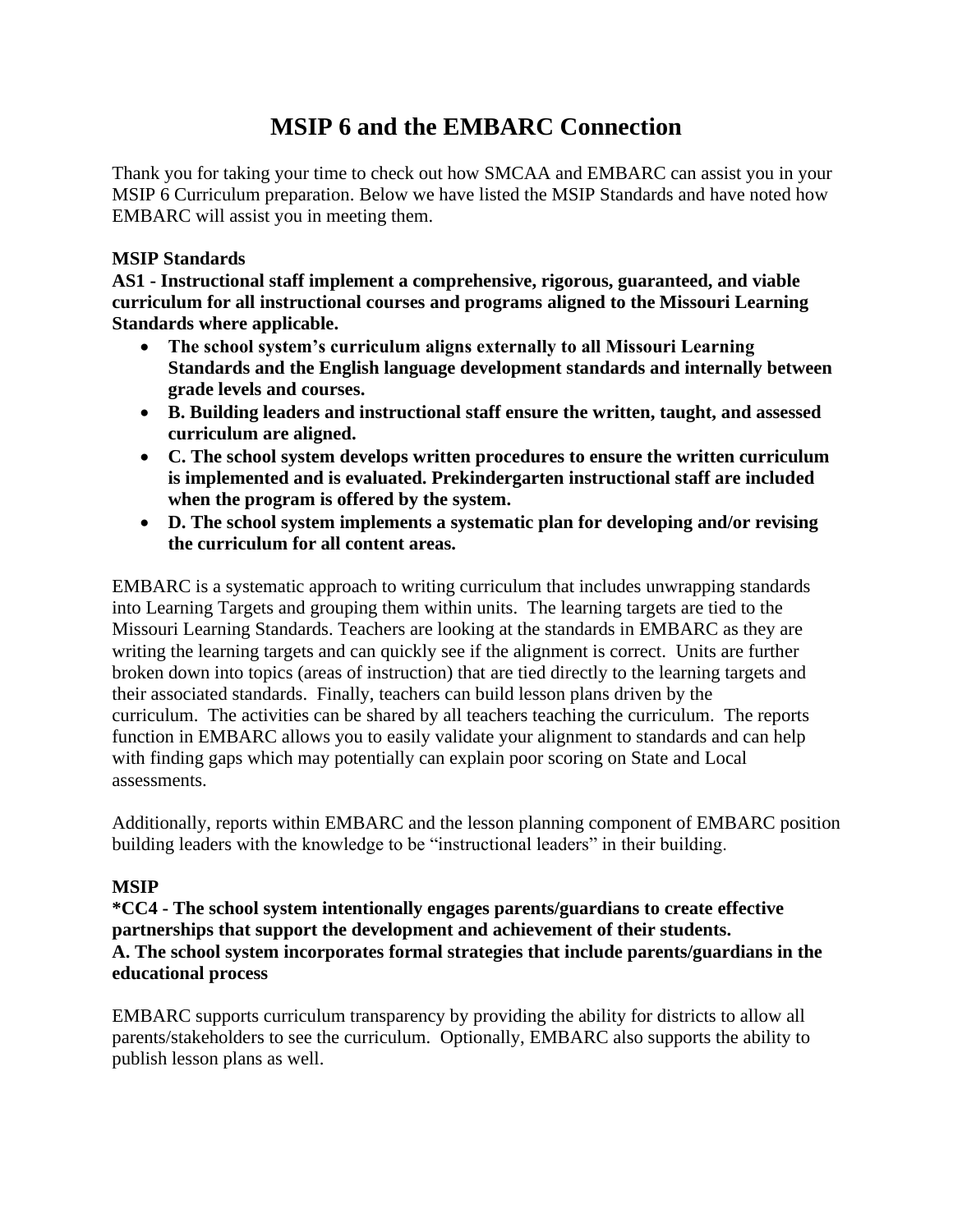# **MSIP 6 and the EMBARC Connection**

Thank you for taking your time to check out how SMCAA and EMBARC can assist you in your MSIP 6 Curriculum preparation. Below we have listed the MSIP Standards and have noted how EMBARC will assist you in meeting them.

## **MSIP Standards**

**AS1 - Instructional staff implement a comprehensive, rigorous, guaranteed, and viable curriculum for all instructional courses and programs aligned to the Missouri Learning Standards where applicable.**

- **The school system's curriculum aligns externally to all Missouri Learning Standards and the English language development standards and internally between grade levels and courses.**
- **B. Building leaders and instructional staff ensure the written, taught, and assessed curriculum are aligned.**
- **C. The school system develops written procedures to ensure the written curriculum is implemented and is evaluated. Prekindergarten instructional staff are included when the program is offered by the system.**
- **D. The school system implements a systematic plan for developing and/or revising the curriculum for all content areas.**

EMBARC is a systematic approach to writing curriculum that includes unwrapping standards into Learning Targets and grouping them within units. The learning targets are tied to the Missouri Learning Standards. Teachers are looking at the standards in EMBARC as they are writing the learning targets and can quickly see if the alignment is correct. Units are further broken down into topics (areas of instruction) that are tied directly to the learning targets and their associated standards. Finally, teachers can build lesson plans driven by the curriculum. The activities can be shared by all teachers teaching the curriculum. The reports function in EMBARC allows you to easily validate your alignment to standards and can help with finding gaps which may potentially can explain poor scoring on State and Local assessments.

Additionally, reports within EMBARC and the lesson planning component of EMBARC position building leaders with the knowledge to be "instructional leaders" in their building.

## **MSIP**

**\*CC4 - The school system intentionally engages parents/guardians to create effective partnerships that support the development and achievement of their students. A. The school system incorporates formal strategies that include parents/guardians in the educational process**

EMBARC supports curriculum transparency by providing the ability for districts to allow all parents/stakeholders to see the curriculum. Optionally, EMBARC also supports the ability to publish lesson plans as well.